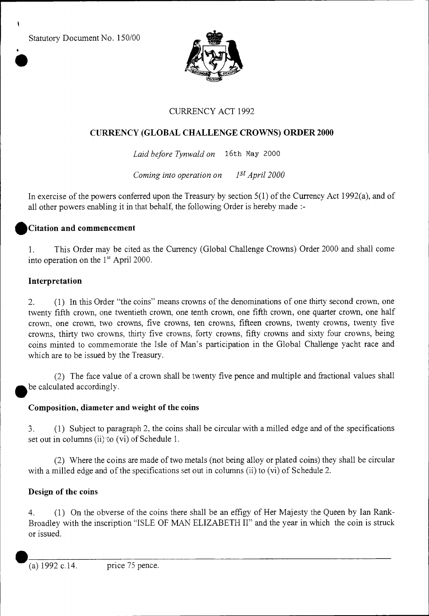•<br>●<br>● Statutory Document No. 150/00

١



### CURRENCY ACT 1992

### **CURRENCY (GLOBAL CHALLENGE CROWNS) ORDER 2000**

*Laid before Tynwald on* 16th Nay 2000

*Coming into operation on 1st April 2000* 

In exercise of the powers conferred upon the Treasury by section 5(1) of the Currency Act 1992(a), and of all other powers enabling it in that behalf, the following Order is hereby made **:-** 

#### **.Citation and commencement**

1. This Order may be cited as the Currency (Global Challenge Crowns) Order 2000 and shall come into operation on the  $1<sup>st</sup>$  April 2000.

#### **Interpretation**

2. (1) In this Order "the coins" means crowns of the denominations of one thirty second crown, one twenty fifth crown, one twentieth crown, one tenth crown, one fifth crown, one quarter crown, one half crown, one crown, two crowns, five crowns, ten crowns, fifteen crowns, twenty crowns, twenty five crowns, thirty two crowns, thirty five crowns, forty crowns, fifty crowns and sixty four crowns, being coins minted to commemorate the Isle of Man's participation in the Global Challenge yacht race and which are to be issued by the Treasury.

(2) The face value of a crown shall be twenty five pence and multiple and fractional values shall **()be** calculated accordingly.

#### **Composition, diameter and weight of the coins**

3. (1) Subject to paragraph 2, the coins shall be circular with a milled edge and of the specifications set out in columns (ii) to (vi) of Schedule 1.

(2) Where the coins are made of two metals (not being alloy or plated coins) they shall be circular with a milled edge and of the specifications set out in columns (ii) to (vi) of Schedule **2.** 

#### Design of the coins

4. (1) On the obverse of the coins there shall be an effigy of Her Majesty the Queen by Ian Rank-Broadley with the inscription "ISLE OF MAN ELIZABETH II" and the year in which the coin is struck or issued.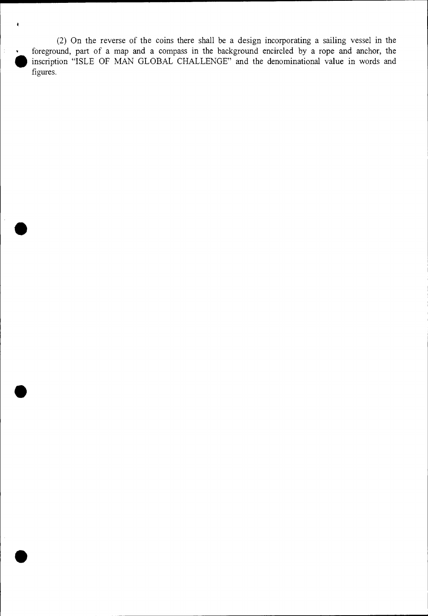(2) On the reverse of the coins there shall be a design incorporating a sailing vessel in the foreground, part of a map and a compass in the background encircled by a rope and anchor, the inscription "ISLE OF MAN GLOBAL CHALLENGE" and the denominational value in words and figures.

•

 $\pmb{\epsilon}$ 

•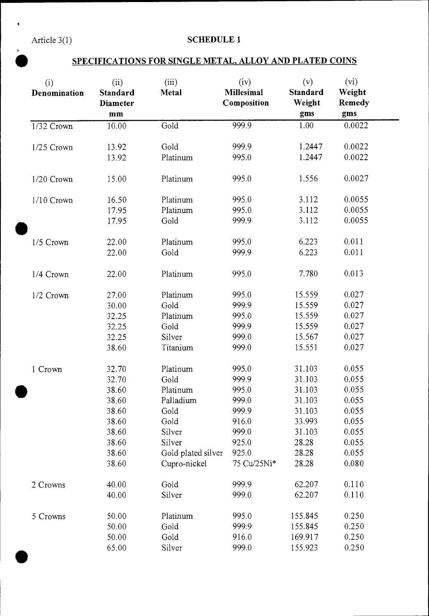**•**

# Article 3(1) **SCHEDULE 1**

## **SPECIFICATIONS FOR SINGLE METAL, ALLOY AND PLATED COINS**

| (i)<br>Denomination | (ii)<br>Standard<br>Diameter<br>mm | (iii)<br>Metal     | (iv)<br><b>Millesimal</b><br>Composition | (v)<br>Standard<br>Weight<br>gms | (vi)<br>Weight<br>Remedy<br>gms |  |
|---------------------|------------------------------------|--------------------|------------------------------------------|----------------------------------|---------------------------------|--|
| $1/32$ Crown        | 10.00                              | Gold               | 999.9                                    | 1.00                             | 0.0022                          |  |
| 1/25 Crown          | 13.92                              | Gold               | 999.9                                    | 1.2447                           | 0.0022                          |  |
|                     |                                    | Platinum           | 995.0                                    | 1.2447                           | 0.0022                          |  |
|                     | 13.92                              |                    |                                          |                                  |                                 |  |
| $1/20$ Crown        | 15.00                              | Platinum           | 995.0                                    | 1.556                            | 0.0027                          |  |
| $1/10$ Crown        | 16.50                              | Platinum           | 995.0                                    | 3.112                            | 0.0055                          |  |
|                     | 17.95                              | Platinum           | 995.0                                    | 3.112                            | 0.0055                          |  |
|                     | 17.95                              | Gold               | 999.9                                    | 3.112                            | 0.0055                          |  |
| 1/5 Crown           | 22.00                              | Platinum           | 995.0                                    | 6.223                            | 0.011                           |  |
|                     | 22.00                              | Gold               | 999.9                                    | 6.223                            | 0.011                           |  |
| 1/4 Crown           | 22.00                              | Platinum           | 995.0                                    | 7.780                            | 0.013                           |  |
| 1/2 Crown           | 27.00                              | Platinum           | 995.0                                    | 15.559                           | 0.027                           |  |
|                     | 30.00                              | Gold               | 999.9                                    | 15.559                           | 0.027                           |  |
|                     | 32.25                              | Platinum           | 995.0                                    | 15.559                           | 0.027                           |  |
|                     | 32.25                              | Gold               | 999.9                                    | 15.559                           | 0.027                           |  |
|                     | 32.25                              | Silver             | 999.0                                    | 15.567                           | 0.027                           |  |
|                     | 38.60                              | Titanium           | 999.0                                    | 15.551                           | 0.027                           |  |
| 1 Crown             | 32.70                              | Platinum           | 995.0                                    | 31.103                           | 0.055                           |  |
|                     | 32.70                              | Gold               | 999.9                                    | 31.103                           | 0.055                           |  |
|                     | 38.60                              | Platinum           | 995.0                                    | 31.103                           | 0.055                           |  |
|                     | 38.60                              | Palladium          | 999.0                                    | 31.103                           | 0.055                           |  |
|                     | 38.60                              | Gold               | 999.9                                    | 31.103                           | 0.055                           |  |
|                     | 38.60                              | Gold               | 916.0                                    | 33.993                           | 0.055                           |  |
|                     | 38.60                              | Silver             | 999.0                                    | 31.103                           | 0.055                           |  |
|                     | 38.60                              | Silver             | 925.0                                    | 28.28                            | 0.055                           |  |
|                     | 38.60                              | Gold plated silver | 925.0                                    | 28.28                            | 0.055                           |  |
|                     | 38.60                              | Cupro-nickel       | 75 Cu/25Ni*                              | 28.28                            | 0.080                           |  |
| 2 Crowns            | 40.00                              | Gold               | 999.9                                    | 62.207                           | 0.110                           |  |
|                     | 40.00                              | Silver             | 999.0                                    | 62.207                           | 0.110                           |  |
| 5 Crowns            | 50.00                              | Platinum           | 995.0                                    | 155.845                          | 0.250                           |  |
|                     | 50.00                              | Gold               | 999.9                                    | 155.845                          | 0.250                           |  |
|                     | 50.00                              | Gold               | 916.0                                    | 169.917                          | 0.250                           |  |
|                     | 65.00                              | Silver             | 999.0                                    | 155.923                          | 0.250                           |  |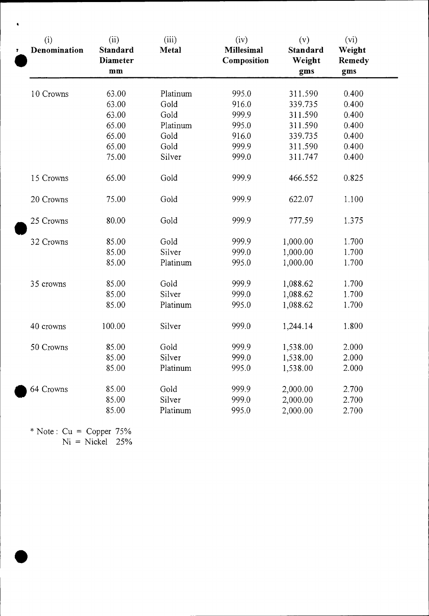| (i)<br>Denomination | (ii)<br>Standard<br>Diameter<br>mm | (iii)<br>Metal | (iv)<br><b>Millesimal</b><br>Composition | (v)<br>Standard<br>Weight<br>gms | (vi)<br>Weight<br>Remedy<br>gms |
|---------------------|------------------------------------|----------------|------------------------------------------|----------------------------------|---------------------------------|
| 10 Crowns           | 63.00                              | Platinum       | 995.0                                    | 311.590                          | 0.400                           |
|                     | 63.00                              | Gold           | 916.0                                    | 339.735                          | 0.400                           |
|                     | 63.00                              | Gold           | 999.9                                    | 311.590                          | 0.400                           |
|                     | 65.00                              | Platinum       | 995.0                                    | 311.590                          | 0.400                           |
|                     | 65.00                              | Gold           | 916.0                                    | 339.735                          | 0.400                           |
|                     | 65.00                              | Gold           | 999.9                                    | 311.590                          | 0.400                           |
|                     | 75.00                              | Silver         | 999.0                                    | 311.747                          | 0.400                           |
| 15 Crowns           | 65.00                              | Gold           | 999.9                                    | 466.552                          | 0.825                           |
| 20 Crowns           | 75.00                              | Gold           | 999.9                                    | 622.07                           | 1.100                           |
| 25 Crowns           | 80.00                              | Gold           | 999.9                                    | 777.59                           | 1.375                           |
| 32 Crowns           | 85.00                              | Gold           | 999.9                                    | 1,000.00                         | 1.700                           |
|                     | 85.00                              | Silver         | 999.0                                    | 1,000.00                         | 1.700                           |
|                     | 85.00                              | Platinum       | 995.0                                    | 1,000.00                         | 1.700                           |
| 35 crowns           | 85.00                              | Gold           | 999.9                                    | 1,088.62                         | 1.700                           |
|                     | 85.00                              | Silver         | 999.0                                    | 1,088.62                         | 1.700                           |
|                     | 85.00                              | Platinum       | 995.0                                    | 1,088.62                         | 1.700                           |
| 40 crowns           | 100.00                             | Silver         | 999.0                                    | 1,244.14                         | 1.800                           |
| 50 Crowns           | 85.00                              | Gold           | 999.9                                    | 1,538.00                         | 2.000                           |
|                     | 85.00                              | Silver         | 999.0                                    | 1,538.00                         | 2.000                           |
|                     | 85.00                              | Platinum       | 995.0                                    | 1,538.00                         | 2.000                           |
| 64 Crowns           | 85.00                              | Gold           | 999.9                                    | 2,000.00                         | 2.700                           |
|                     | 85.00                              | Silver         | 999.0                                    | 2,000.00                         | 2.700                           |
|                     | 85.00                              | Platinum       | 995.0                                    | 2,000.00                         | 2.700                           |

\* Note :  $Cu = Copper 75%$  $Ni = Nickel$  25%



 $\bullet$